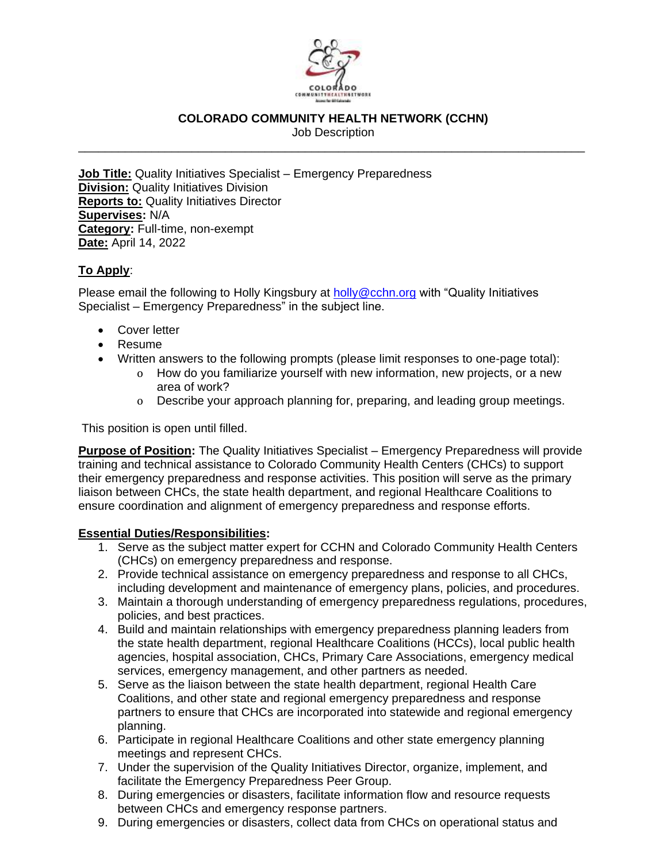

## **COLORADO COMMUNITY HEALTH NETWORK (CCHN)**

Job Description \_\_\_\_\_\_\_\_\_\_\_\_\_\_\_\_\_\_\_\_\_\_\_\_\_\_\_\_\_\_\_\_\_\_\_\_\_\_\_\_\_\_\_\_\_\_\_\_\_\_\_\_\_\_\_\_\_\_\_\_\_\_\_\_\_\_\_\_\_\_\_\_\_\_\_\_

**Job Title:** Quality Initiatives Specialist – Emergency Preparedness **Division:** Quality Initiatives Division **Reports to:** Quality Initiatives Director **Supervises:** N/A **Category:** Full-time, non-exempt **Date:** April 14, 2022

# **To Apply**:

Please email the following to Holly Kingsbury at [holly@cchn.org](mailto:holly@cchn.org) with "Quality Initiatives Specialist – Emergency Preparedness" in the subject line.

- Cover letter
- Resume
- Written answers to the following prompts (please limit responses to one-page total):
	- o How do you familiarize yourself with new information, new projects, or a new area of work?
	- o Describe your approach planning for, preparing, and leading group meetings.

This position is open until filled.

**Purpose of Position:** The Quality Initiatives Specialist – Emergency Preparedness will provide training and technical assistance to Colorado Community Health Centers (CHCs) to support their emergency preparedness and response activities. This position will serve as the primary liaison between CHCs, the state health department, and regional Healthcare Coalitions to ensure coordination and alignment of emergency preparedness and response efforts.

### **Essential Duties/Responsibilities:**

- 1. Serve as the subject matter expert for CCHN and Colorado Community Health Centers (CHCs) on emergency preparedness and response.
- 2. Provide technical assistance on emergency preparedness and response to all CHCs, including development and maintenance of emergency plans, policies, and procedures.
- 3. Maintain a thorough understanding of emergency preparedness regulations, procedures, policies, and best practices.
- 4. Build and maintain relationships with emergency preparedness planning leaders from the state health department, regional Healthcare Coalitions (HCCs), local public health agencies, hospital association, CHCs, Primary Care Associations, emergency medical services, emergency management, and other partners as needed.
- 5. Serve as the liaison between the state health department, regional Health Care Coalitions, and other state and regional emergency preparedness and response partners to ensure that CHCs are incorporated into statewide and regional emergency planning.
- 6. Participate in regional Healthcare Coalitions and other state emergency planning meetings and represent CHCs.
- 7. Under the supervision of the Quality Initiatives Director, organize, implement, and facilitate the Emergency Preparedness Peer Group.
- 8. During emergencies or disasters, facilitate information flow and resource requests between CHCs and emergency response partners.
- 9. During emergencies or disasters, collect data from CHCs on operational status and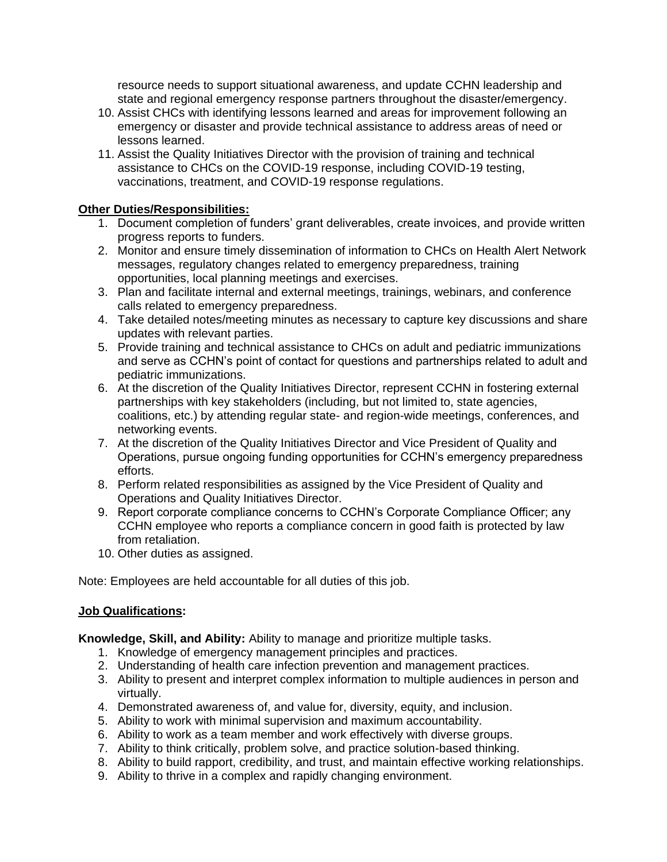resource needs to support situational awareness, and update CCHN leadership and state and regional emergency response partners throughout the disaster/emergency.

- 10. Assist CHCs with identifying lessons learned and areas for improvement following an emergency or disaster and provide technical assistance to address areas of need or lessons learned.
- 11. Assist the Quality Initiatives Director with the provision of training and technical assistance to CHCs on the COVID-19 response, including COVID-19 testing, vaccinations, treatment, and COVID-19 response regulations.

### **Other Duties/Responsibilities:**

- 1. Document completion of funders' grant deliverables, create invoices, and provide written progress reports to funders.
- 2. Monitor and ensure timely dissemination of information to CHCs on Health Alert Network messages, regulatory changes related to emergency preparedness, training opportunities, local planning meetings and exercises.
- 3. Plan and facilitate internal and external meetings, trainings, webinars, and conference calls related to emergency preparedness.
- 4. Take detailed notes/meeting minutes as necessary to capture key discussions and share updates with relevant parties.
- 5. Provide training and technical assistance to CHCs on adult and pediatric immunizations and serve as CCHN's point of contact for questions and partnerships related to adult and pediatric immunizations.
- 6. At the discretion of the Quality Initiatives Director, represent CCHN in fostering external partnerships with key stakeholders (including, but not limited to, state agencies, coalitions, etc.) by attending regular state- and region-wide meetings, conferences, and networking events.
- 7. At the discretion of the Quality Initiatives Director and Vice President of Quality and Operations, pursue ongoing funding opportunities for CCHN's emergency preparedness efforts.
- 8. Perform related responsibilities as assigned by the Vice President of Quality and Operations and Quality Initiatives Director.
- 9. Report corporate compliance concerns to CCHN's Corporate Compliance Officer; any CCHN employee who reports a compliance concern in good faith is protected by law from retaliation.
- 10. Other duties as assigned.

Note: Employees are held accountable for all duties of this job.

### **Job Qualifications:**

**Knowledge, Skill, and Ability:** Ability to manage and prioritize multiple tasks.

- 1. Knowledge of emergency management principles and practices.
- 2. Understanding of health care infection prevention and management practices.
- 3. Ability to present and interpret complex information to multiple audiences in person and virtually.
- 4. Demonstrated awareness of, and value for, diversity, equity, and inclusion.
- 5. Ability to work with minimal supervision and maximum accountability.
- 6. Ability to work as a team member and work effectively with diverse groups.
- 7. Ability to think critically, problem solve, and practice solution-based thinking.
- 8. Ability to build rapport, credibility, and trust, and maintain effective working relationships.
- 9. Ability to thrive in a complex and rapidly changing environment.